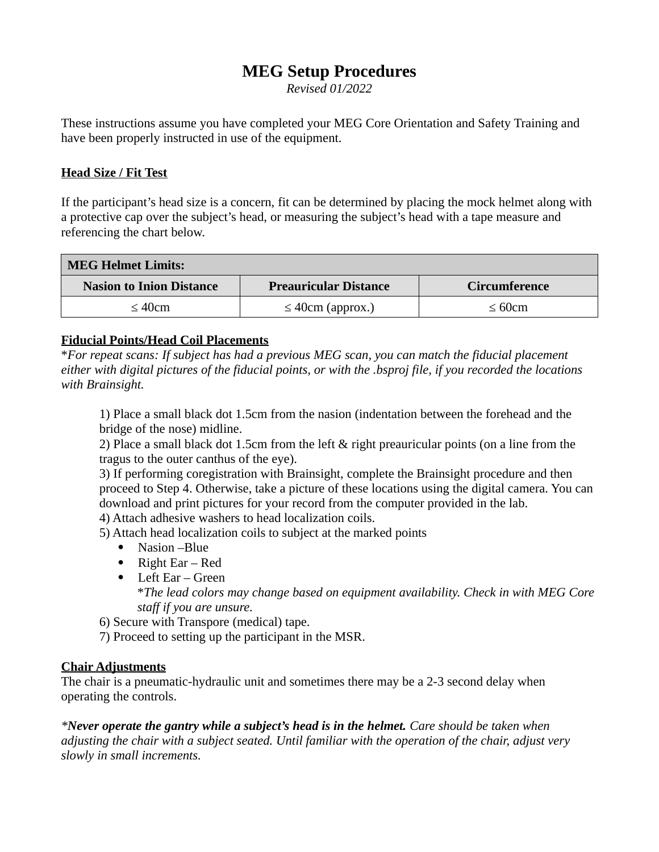# **MEG Setup Procedures**

*Revised 01/2022*

These instructions assume you have completed your MEG Core Orientation and Safety Training and have been properly instructed in use of the equipment.

#### **Head Size / Fit Test**

If the participant's head size is a concern, fit can be determined by placing the mock helmet along with a protective cap over the subject's head, or measuring the subject's head with a tape measure and referencing the chart below.

| <b>MEG Helmet Limits:</b>       |                              |                      |
|---------------------------------|------------------------------|----------------------|
| <b>Nasion to Inion Distance</b> | <b>Preauricular Distance</b> | <b>Circumference</b> |
| < 40cm                          | $\leq$ 40cm (approx.)        | $\leq 60$ cm         |

#### **Fiducial Points/Head Coil Placements**

\**For repeat scans: If subject has had a previous MEG scan, you can match the fiducial placement either with digital pictures of the fiducial points, or with the .bsproj file, if you recorded the locations with Brainsight.*

1) Place a small black dot 1.5cm from the nasion (indentation between the forehead and the bridge of the nose) midline.

2) Place a small black dot 1.5cm from the left & right preauricular points (on a line from the tragus to the outer canthus of the eye).

3) If performing coregistration with Brainsight, complete the Brainsight procedure and then proceed to Step 4. Otherwise, take a picture of these locations using the digital camera. You can download and print pictures for your record from the computer provided in the lab.

4) Attach adhesive washers to head localization coils. 5) Attach head localization coils to subject at the marked points

- Nasion –Blue
- 
- Right  $\text{Ear} \text{Red}$
- Left Ear Green \**The lead colors may change based on equipment availability. Check in with MEG Core staff if you are unsure.*
- 6) Secure with Transpore (medical) tape.
- 7) Proceed to setting up the participant in the MSR.

#### **Chair Adjustments**

The chair is a pneumatic-hydraulic unit and sometimes there may be a 2-3 second delay when operating the controls.

*\*Never operate the gantry while a subject's head is in the helmet. Care should be taken when adjusting the chair with a subject seated. Until familiar with the operation of the chair, adjust very slowly in small increments.*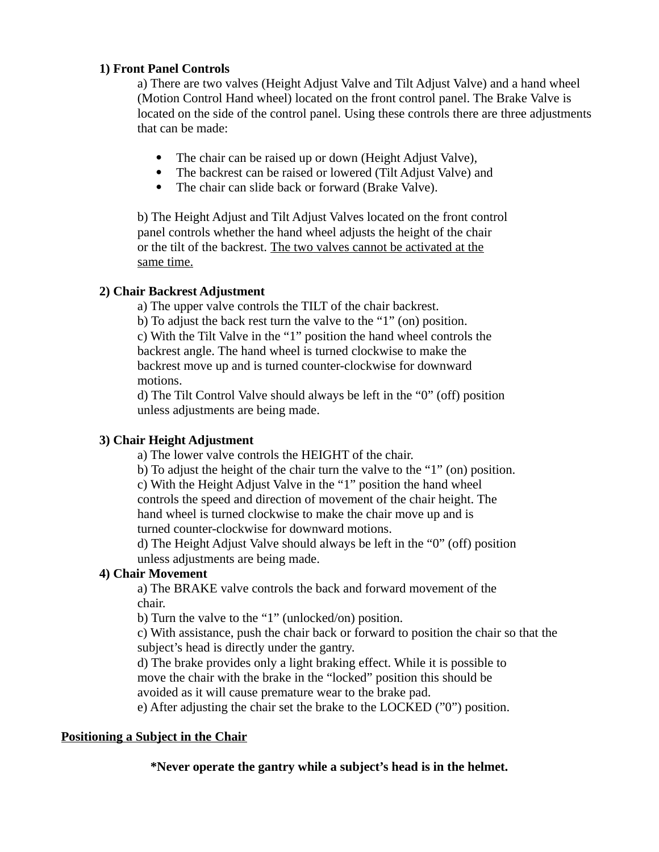### **1) Front Panel Controls**

a) There are two valves (Height Adjust Valve and Tilt Adjust Valve) and a hand wheel (Motion Control Hand wheel) located on the front control panel. The Brake Valve is located on the side of the control panel. Using these controls there are three adjustments that can be made:

- The chair can be raised up or down (Height Adjust Valve),
- The backrest can be raised or lowered (Tilt Adjust Valve) and
- The chair can slide back or forward (Brake Valve).

b) The Height Adjust and Tilt Adjust Valves located on the front control panel controls whether the hand wheel adjusts the height of the chair or the tilt of the backrest. The two valves cannot be activated at the same time.

### **2) Chair Backrest Adjustment**

a) The upper valve controls the TILT of the chair backrest.

b) To adjust the back rest turn the valve to the "1" (on) position.

c) With the Tilt Valve in the "1" position the hand wheel controls the backrest angle. The hand wheel is turned clockwise to make the backrest move up and is turned counter-clockwise for downward motions.

d) The Tilt Control Valve should always be left in the "0" (off) position unless adjustments are being made.

# **3) Chair Height Adjustment**

a) The lower valve controls the HEIGHT of the chair.

b) To adjust the height of the chair turn the valve to the "1" (on) position.

c) With the Height Adjust Valve in the "1" position the hand wheel controls the speed and direction of movement of the chair height. The hand wheel is turned clockwise to make the chair move up and is turned counter-clockwise for downward motions.

d) The Height Adjust Valve should always be left in the "0" (off) position unless adjustments are being made.

# **4) Chair Movement**

a) The BRAKE valve controls the back and forward movement of the chair.

b) Turn the valve to the "1" (unlocked/on) position.

c) With assistance, push the chair back or forward to position the chair so that the subject's head is directly under the gantry.

d) The brake provides only a light braking effect. While it is possible to move the chair with the brake in the "locked" position this should be avoided as it will cause premature wear to the brake pad.

e) After adjusting the chair set the brake to the LOCKED ("0") position.

### **Positioning a Subject in the Chair**

# **\*Never operate the gantry while a subject's head is in the helmet.**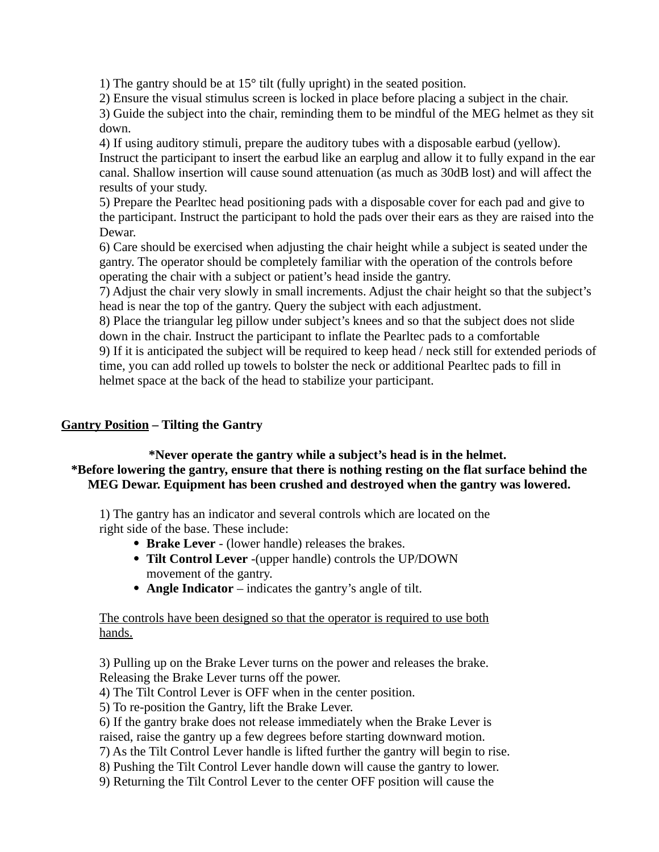1) The gantry should be at 15° tilt (fully upright) in the seated position.

2) Ensure the visual stimulus screen is locked in place before placing a subject in the chair.

3) Guide the subject into the chair, reminding them to be mindful of the MEG helmet as they sit down.

4) If using auditory stimuli, prepare the auditory tubes with a disposable earbud (yellow). Instruct the participant to insert the earbud like an earplug and allow it to fully expand in the ear canal. Shallow insertion will cause sound attenuation (as much as 30dB lost) and will affect the results of your study.

5) Prepare the Pearltec head positioning pads with a disposable cover for each pad and give to the participant. Instruct the participant to hold the pads over their ears as they are raised into the Dewar.

6) Care should be exercised when adjusting the chair height while a subject is seated under the gantry. The operator should be completely familiar with the operation of the controls before operating the chair with a subject or patient's head inside the gantry.

7) Adjust the chair very slowly in small increments. Adjust the chair height so that the subject's head is near the top of the gantry. Query the subject with each adjustment.

8) Place the triangular leg pillow under subject's knees and so that the subject does not slide down in the chair. Instruct the participant to inflate the Pearltec pads to a comfortable

9) If it is anticipated the subject will be required to keep head / neck still for extended periods of time, you can add rolled up towels to bolster the neck or additional Pearltec pads to fill in helmet space at the back of the head to stabilize your participant.

### **Gantry Position – Tilting the Gantry**

#### **\*Never operate the gantry while a subject's head is in the helmet. \*Before lowering the gantry, ensure that there is nothing resting on the flat surface behind the MEG Dewar. Equipment has been crushed and destroyed when the gantry was lowered.**

1) The gantry has an indicator and several controls which are located on the right side of the base. These include:

- **Brake Lever** (lower handle) releases the brakes.
- **Tilt Control Lever** -(upper handle) controls the UP/DOWN movement of the gantry.
- **Angle Indicator** indicates the gantry's angle of tilt.

The controls have been designed so that the operator is required to use both hands.

3) Pulling up on the Brake Lever turns on the power and releases the brake. Releasing the Brake Lever turns off the power.

4) The Tilt Control Lever is OFF when in the center position.

5) To re-position the Gantry, lift the Brake Lever.

6) If the gantry brake does not release immediately when the Brake Lever is raised, raise the gantry up a few degrees before starting downward motion.

7) As the Tilt Control Lever handle is lifted further the gantry will begin to rise.

8) Pushing the Tilt Control Lever handle down will cause the gantry to lower.

9) Returning the Tilt Control Lever to the center OFF position will cause the